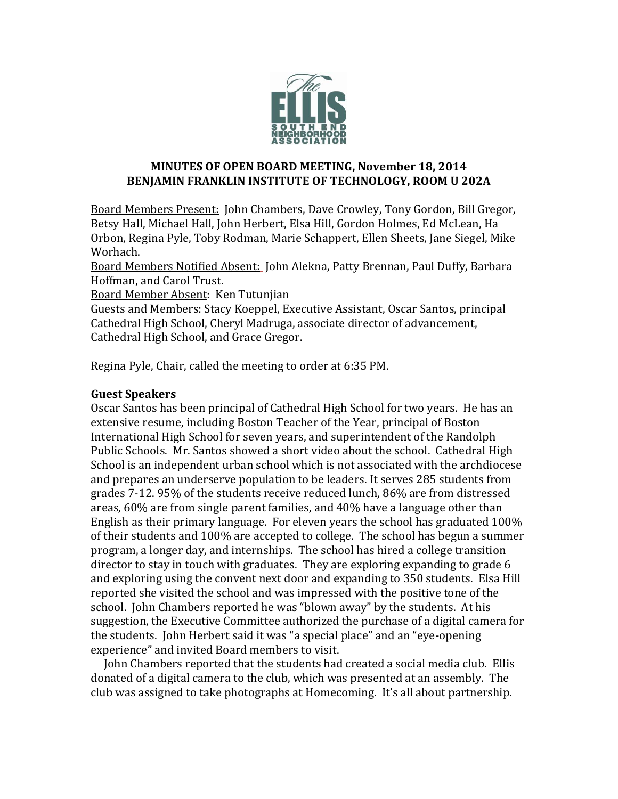

## **MINUTES OF OPEN BOARD MEETING, November 18, 2014 BENJAMIN FRANKLIN INSTITUTE OF TECHNOLOGY, ROOM U 202A**

Board Members Present: John Chambers, Dave Crowley, Tony Gordon, Bill Gregor, Betsy Hall, Michael Hall, John Herbert, Elsa Hill, Gordon Holmes, Ed McLean, Ha Orbon, Regina Pyle, Toby Rodman, Marie Schappert, Ellen Sheets, Jane Siegel, Mike Worhach.

Board Members Notified Absent: John Alekna, Patty Brennan, Paul Duffy, Barbara Hoffman, and Carol Trust.

Board Member Absent: Ken Tutunjian

Guests and Members: Stacy Koeppel, Executive Assistant, Oscar Santos, principal Cathedral High School, Cheryl Madruga, associate director of advancement, Cathedral High School, and Grace Gregor.

Regina Pyle, Chair, called the meeting to order at 6:35 PM.

# **Guest Speakers**

Oscar Santos has been principal of Cathedral High School for two years. He has an extensive resume, including Boston Teacher of the Year, principal of Boston International High School for seven years, and superintendent of the Randolph Public Schools. Mr. Santos showed a short video about the school. Cathedral High School is an independent urban school which is not associated with the archdiocese and prepares an underserve population to be leaders. It serves 285 students from grades 7-12. 95% of the students receive reduced lunch, 86% are from distressed areas, 60% are from single parent families, and 40% have a language other than English as their primary language. For eleven years the school has graduated 100% of their students and 100% are accepted to college. The school has begun a summer program, a longer day, and internships. The school has hired a college transition director to stay in touch with graduates. They are exploring expanding to grade 6 and exploring using the convent next door and expanding to 350 students. Elsa Hill reported she visited the school and was impressed with the positive tone of the school. John Chambers reported he was "blown away" by the students. At his suggestion, the Executive Committee authorized the purchase of a digital camera for the students. John Herbert said it was "a special place" and an "eye-opening experience" and invited Board members to visit.

 John Chambers reported that the students had created a social media club. Ellis donated of a digital camera to the club, which was presented at an assembly. The club was assigned to take photographs at Homecoming. It's all about partnership.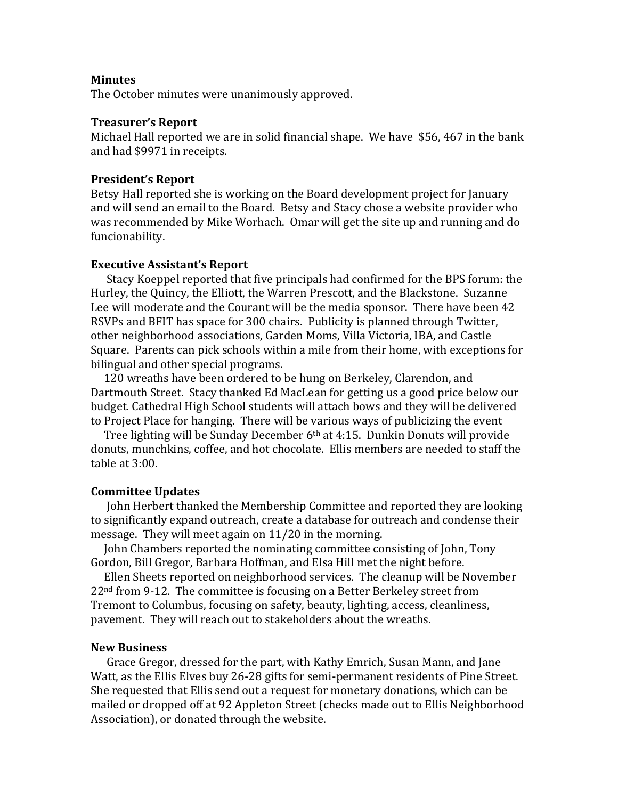#### **Minutes**

The October minutes were unanimously approved.

### **Treasurer's Report**

Michael Hall reported we are in solid financial shape. We have \$56, 467 in the bank and had \$9971 in receipts.

#### **President's Report**

Betsy Hall reported she is working on the Board development project for January and will send an email to the Board. Betsy and Stacy chose a website provider who was recommended by Mike Worhach. Omar will get the site up and running and do funcionability.

#### **Executive Assistant's Report**

 Stacy Koeppel reported that five principals had confirmed for the BPS forum: the Hurley, the Quincy, the Elliott, the Warren Prescott, and the Blackstone. Suzanne Lee will moderate and the Courant will be the media sponsor. There have been 42 RSVPs and BFIT has space for 300 chairs. Publicity is planned through Twitter, other neighborhood associations, Garden Moms, Villa Victoria, IBA, and Castle Square. Parents can pick schools within a mile from their home, with exceptions for bilingual and other special programs.

 120 wreaths have been ordered to be hung on Berkeley, Clarendon, and Dartmouth Street. Stacy thanked Ed MacLean for getting us a good price below our budget. Cathedral High School students will attach bows and they will be delivered to Project Place for hanging. There will be various ways of publicizing the event

 Tree lighting will be Sunday December 6th at 4:15. Dunkin Donuts will provide donuts, munchkins, coffee, and hot chocolate. Ellis members are needed to staff the table at 3:00.

#### **Committee Updates**

 John Herbert thanked the Membership Committee and reported they are looking to significantly expand outreach, create a database for outreach and condense their message. They will meet again on 11/20 in the morning.

 John Chambers reported the nominating committee consisting of John, Tony Gordon, Bill Gregor, Barbara Hoffman, and Elsa Hill met the night before.

 Ellen Sheets reported on neighborhood services. The cleanup will be November  $22<sup>nd</sup>$  from 9-12. The committee is focusing on a Better Berkeley street from Tremont to Columbus, focusing on safety, beauty, lighting, access, cleanliness, pavement. They will reach out to stakeholders about the wreaths.

#### **New Business**

 Grace Gregor, dressed for the part, with Kathy Emrich, Susan Mann, and Jane Watt, as the Ellis Elves buy 26-28 gifts for semi-permanent residents of Pine Street. She requested that Ellis send out a request for monetary donations, which can be mailed or dropped off at 92 Appleton Street (checks made out to Ellis Neighborhood Association), or donated through the website.